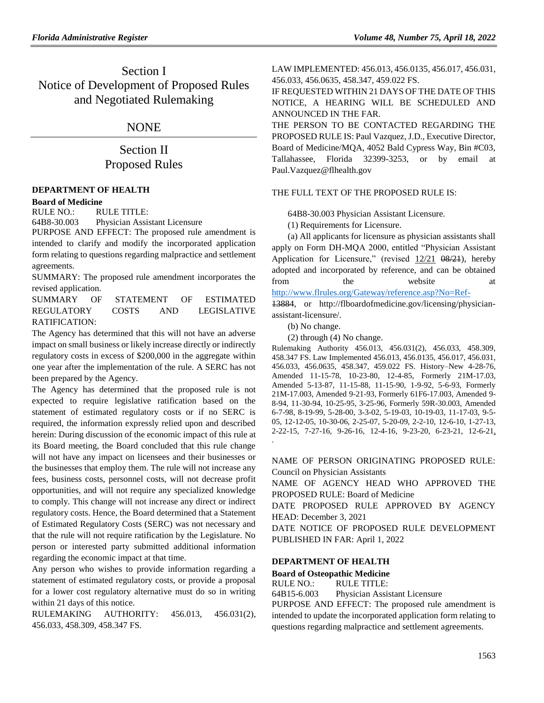# Section I Notice of Development of Proposed Rules and Negotiated Rulemaking

## NONE

# Section II Proposed Rules

### **[DEPARTMENT OF HEALTH](https://www.flrules.org/gateway/department.asp?id=64)**

#### **[Board of Medicine](https://www.flrules.org/gateway/organization.asp?id=331)**

RULE NO.: RULE TITLE:

[64B8-30.003](https://www.flrules.org/gateway/ruleNo.asp?id=64B8-30.003) Physician Assistant Licensure

PURPOSE AND EFFECT: The proposed rule amendment is intended to clarify and modify the incorporated application form relating to questions regarding malpractice and settlement agreements.

SUMMARY: The proposed rule amendment incorporates the revised application.

SUMMARY OF STATEMENT OF ESTIMATED REGULATORY COSTS AND LEGISLATIVE RATIFICATION:

The Agency has determined that this will not have an adverse impact on small business or likely increase directly or indirectly regulatory costs in excess of \$200,000 in the aggregate within one year after the implementation of the rule. A SERC has not been prepared by the Agency.

The Agency has determined that the proposed rule is not expected to require legislative ratification based on the statement of estimated regulatory costs or if no SERC is required, the information expressly relied upon and described herein: During discussion of the economic impact of this rule at its Board meeting, the Board concluded that this rule change will not have any impact on licensees and their businesses or the businesses that employ them. The rule will not increase any fees, business costs, personnel costs, will not decrease profit opportunities, and will not require any specialized knowledge to comply. This change will not increase any direct or indirect regulatory costs. Hence, the Board determined that a Statement of Estimated Regulatory Costs (SERC) was not necessary and that the rule will not require ratification by the Legislature. No person or interested party submitted additional information regarding the economic impact at that time.

Any person who wishes to provide information regarding a statement of estimated regulatory costs, or provide a proposal for a lower cost regulatory alternative must do so in writing within 21 days of this notice.

RULEMAKING AUTHORITY: [456.013,](https://www.flrules.org/gateway/statute.asp?id=456.013) [456.031\(2\),](https://www.flrules.org/gateway/statute.asp?id=%20456.031(2)) [456.033,](https://www.flrules.org/gateway/statute.asp?id=%20456.033) [458.309,](https://www.flrules.org/gateway/statute.asp?id=%20458.309) [458.347 FS.](https://www.flrules.org/gateway/statute.asp?id=%20458.347%20FS.)

LAW IMPLEMENTED[: 456.013,](https://www.flrules.org/gateway/statute.asp?id=456.013) [456.0135,](https://www.flrules.org/gateway/statute.asp?id=%20456.0135) [456.017,](https://www.flrules.org/gateway/statute.asp?id=%20456.017) [456.031,](https://www.flrules.org/gateway/statute.asp?id=%20456.031) [456.033,](https://www.flrules.org/gateway/statute.asp?id=%20456.033) [456.0635,](https://www.flrules.org/gateway/statute.asp?id=%20456.0635) [458.347,](https://www.flrules.org/gateway/statute.asp?id=%20458.347) [459.022 FS.](https://www.flrules.org/gateway/statute.asp?id=%20459.022%20FS.)

IF REQUESTED WITHIN 21 DAYS OF THE DATE OF THIS NOTICE, A HEARING WILL BE SCHEDULED AND ANNOUNCED IN THE FAR.

THE PERSON TO BE CONTACTED REGARDING THE PROPOSED RULE IS: Paul Vazquez, J.D., Executive Director, Board of Medicine/MQA, 4052 Bald Cypress Way, Bin #C03, Tallahassee, Florida 32399-3253, or by email at Paul.Vazquez@flhealth.gov

### THE FULL TEXT OF THE PROPOSED RULE IS:

64B8-30.003 Physician Assistant Licensure.

(1) Requirements for Licensure.

(a) All applicants for licensure as physician assistants shall apply on Form DH-MQA 2000, entitled "Physician Assistant Application for Licensure," (revised  $12/21$   $08/21$ ), hereby adopted and incorporated by reference, and can be obtained from the website at [http://www.flrules.org/Gateway/reference.asp?No=Ref-](https://www.flrules.org/Gateway/reference.asp?No=Ref-%20%20%20%20%20)

13884, or http://flboardofmedicine.gov/licensing/physicianassistant-licensure/.

(b) No change.

(2) through (4) No change.

Rulemaking Authority 456.013, 456.031(2), 456.033, 458.309, 458.347 FS. Law Implemented 456.013, 456.0135, 456.017, 456.031, 456.033, 456.0635, 458.347, 459.022 FS. History–New 4-28-76, Amended 11-15-78, 10-23-80, 12-4-85, Formerly 21M-17.03, Amended 5-13-87, 11-15-88, 11-15-90, 1-9-92, 5-6-93, Formerly 21M-17.003, Amended 9-21-93, Formerly 61F6-17.003, Amended 9- 8-94, 11-30-94, 10-25-95, 3-25-96, Formerly 59R-30.003, Amended 6-7-98, 8-19-99, 5-28-00, 3-3-02, 5-19-03, 10-19-03, 11-17-03, 9-5- 05, 12-12-05, 10-30-06, 2-25-07, 5-20-09, 2-2-10, 12-6-10, 1-27-13, 2-22-15, 7-27-16, 9-26-16, 12-4-16, 9-23-20, 6-23-21, 12-6-21, .

NAME OF PERSON ORIGINATING PROPOSED RULE: Council on Physician Assistants

NAME OF AGENCY HEAD WHO APPROVED THE PROPOSED RULE: Board of Medicine

DATE PROPOSED RULE APPROVED BY AGENCY HEAD: December 3, 2021

DATE NOTICE OF PROPOSED RULE DEVELOPMENT PUBLISHED IN FAR: April 1, 2022

## **[DEPARTMENT OF HEALTH](https://www.flrules.org/gateway/department.asp?id=64)**

**[Board of Osteopathic Medicine](https://www.flrules.org/gateway/organization.asp?id=306)**

RULE NO.: RULE TITLE:

[64B15-6.003](https://www.flrules.org/gateway/ruleNo.asp?id=64B15-6.003) Physician Assistant Licensure

PURPOSE AND EFFECT: The proposed rule amendment is intended to update the incorporated application form relating to questions regarding malpractice and settlement agreements.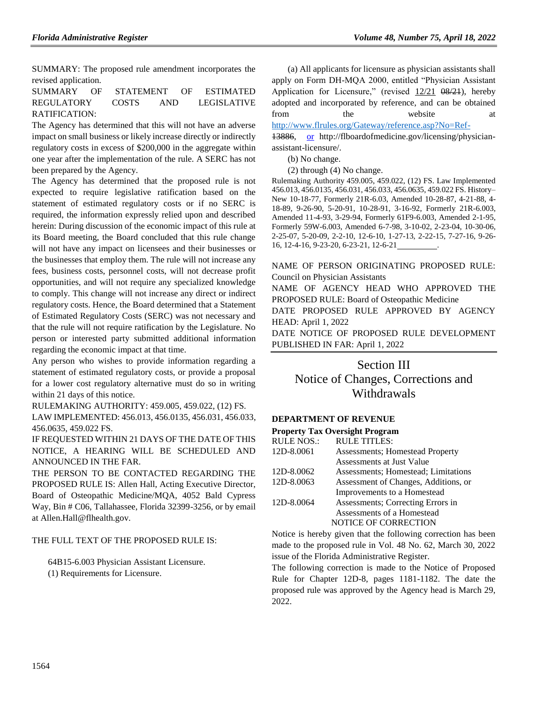SUMMARY: The proposed rule amendment incorporates the revised application.

SUMMARY OF STATEMENT OF ESTIMATED REGULATORY COSTS AND LEGISLATIVE RATIFICATION:

The Agency has determined that this will not have an adverse impact on small business or likely increase directly or indirectly regulatory costs in excess of \$200,000 in the aggregate within one year after the implementation of the rule. A SERC has not been prepared by the Agency.

The Agency has determined that the proposed rule is not expected to require legislative ratification based on the statement of estimated regulatory costs or if no SERC is required, the information expressly relied upon and described herein: During discussion of the economic impact of this rule at its Board meeting, the Board concluded that this rule change will not have any impact on licensees and their businesses or the businesses that employ them. The rule will not increase any fees, business costs, personnel costs, will not decrease profit opportunities, and will not require any specialized knowledge to comply. This change will not increase any direct or indirect regulatory costs. Hence, the Board determined that a Statement of Estimated Regulatory Costs (SERC) was not necessary and that the rule will not require ratification by the Legislature. No person or interested party submitted additional information regarding the economic impact at that time.

Any person who wishes to provide information regarding a statement of estimated regulatory costs, or provide a proposal for a lower cost regulatory alternative must do so in writing within 21 days of this notice.

RULEMAKING AUTHORITY: [459.005,](https://www.flrules.org/gateway/statute.asp?id=459.005) [459.022,](https://www.flrules.org/gateway/statute.asp?id=%20459.022) (12) FS.

LAW IMPLEMENTED[: 456.013,](https://www.flrules.org/gateway/statute.asp?id=456.013) [456.0135,](https://www.flrules.org/gateway/statute.asp?id=%20456.0135) [456.031,](https://www.flrules.org/gateway/statute.asp?id=%20456.031) [456.033,](https://www.flrules.org/gateway/statute.asp?id=%20456.033) [456.0635,](https://www.flrules.org/gateway/statute.asp?id=%20456.0635) [459.022 FS.](https://www.flrules.org/gateway/statute.asp?id=%20459.022%20FS.)

IF REQUESTED WITHIN 21 DAYS OF THE DATE OF THIS NOTICE, A HEARING WILL BE SCHEDULED AND ANNOUNCED IN THE FAR.

THE PERSON TO BE CONTACTED REGARDING THE PROPOSED RULE IS: Allen Hall, Acting Executive Director, Board of Osteopathic Medicine/MQA, 4052 Bald Cypress Way, Bin # C06, Tallahassee, Florida 32399-3256, or by email at Allen.Hall@flhealth.gov.

### THE FULL TEXT OF THE PROPOSED RULE IS:

64B15-6.003 Physician Assistant Licensure. (1) Requirements for Licensure.

(a) All applicants for licensure as physician assistants shall apply on Form DH-MQA 2000, entitled "Physician Assistant Application for Licensure," (revised  $12/21$   $\theta\frac{8}{21}$ ), hereby adopted and incorporated by reference, and can be obtained from the website at

[http://www.flrules.org/Gateway/reference.asp?No=Ref-](https://www.flrules.org/Gateway/reference.asp?No=Ref-%20%20%20%20%20%20%20)

13886, [or](file://///oagnt53/USERDATA/Users/ADMIN/NANCY/Word/PA/or) http://flboardofmedicine.gov/licensing/physicianassistant-licensure/.

(b) No change.

(2) through (4) No change.

Rulemaking Authority 459.005, 459.022, (12) FS. Law Implemented 456.013, 456.0135, 456.031, 456.033, 456.0635, 459.022 FS. History– New 10-18-77, Formerly 21R-6.03, Amended 10-28-87, 4-21-88, 4- 18-89, 9-26-90, 5-20-91, 10-28-91, 3-16-92, Formerly 21R-6.003, Amended 11-4-93, 3-29-94, Formerly 61F9-6.003, Amended 2-1-95, Formerly 59W-6.003, Amended 6-7-98, 3-10-02, 2-23-04, 10-30-06, 2-25-07, 5-20-09, 2-2-10, 12-6-10, 1-27-13, 2-22-15, 7-27-16, 9-26- 16, 12-4-16, 9-23-20, 6-23-21, 12-6-21 .

NAME OF PERSON ORIGINATING PROPOSED RULE: Council on Physician Assistants

NAME OF AGENCY HEAD WHO APPROVED THE PROPOSED RULE: Board of Osteopathic Medicine

DATE PROPOSED RULE APPROVED BY AGENCY HEAD: April 1, 2022

DATE NOTICE OF PROPOSED RULE DEVELOPMENT PUBLISHED IN FAR: April 1, 2022

# Section III Notice of Changes, Corrections and Withdrawals

### **[DEPARTMENT OF REVENUE](https://www.flrules.org/gateway/department.asp?id=12)**

#### **[Property Tax Oversight Program](https://www.flrules.org/gateway/organization.asp?id=36)**

| <b>RULE NOS.:</b> | <b>RULE TITLES:</b>                     |
|-------------------|-----------------------------------------|
| 12D-8.0061        | <b>Assessments</b> ; Homestead Property |
|                   | Assessments at Just Value               |
| 12D-8.0062        | Assessments; Homestead; Limitations     |
| 12D-8.0063        | Assessment of Changes, Additions, or    |
|                   | Improvements to a Homestead             |
| 12D-8.0064        | Assessments; Correcting Errors in       |
|                   | Assessments of a Homestead              |
|                   | <b>NOTICE OF CORRECTION</b>             |
|                   |                                         |

Notice is hereby given that the following correction has been made to the proposed rule in Vol. 48 No. 62, March 30, 2022 issue of the Florida Administrative Register.

The following correction is made to the Notice of Proposed Rule for Chapter 12D-8, pages 1181-1182. The date the proposed rule was approved by the Agency head is March 29, 2022.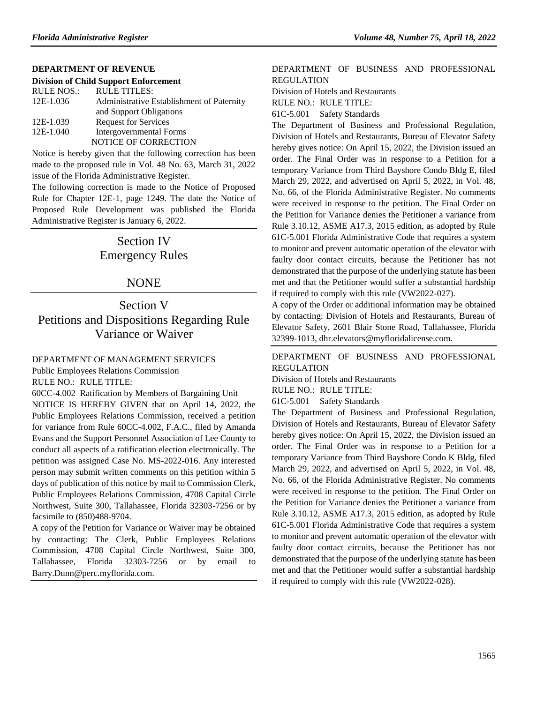### **[DEPARTMENT OF REVENUE](https://www.flrules.org/gateway/department.asp?id=12)**

#### **[Division of Child Support Enforcement](https://www.flrules.org/gateway/organization.asp?id=37)**

| <b>RULE NOS.:</b> | <b>RULE TITLES:</b>                       |
|-------------------|-------------------------------------------|
| 12E-1.036         | Administrative Establishment of Paternity |
|                   | and Support Obligations                   |
| 12E-1.039         | <b>Request for Services</b>               |
| 12E-1.040         | Intergovernmental Forms                   |
|                   | NOTICE OF CORRECTION                      |
|                   |                                           |

Notice is hereby given that the following correction has been made to the proposed rule in Vol. 48 No. 63, March 31, 2022 issue of the Florida Administrative Register.

The following correction is made to the Notice of Proposed Rule for Chapter 12E-1, page 1249. The date the Notice of Proposed Rule Development was published the Florida Administrative Register is January 6, 2022.

# Section IV Emergency Rules

## NONE

# Section V Petitions and Dispositions Regarding Rule Variance or Waiver

#### [DEPARTMENT OF MANAGEMENT SERVICES](https://flrules.org/gateway/department.asp?id=60)

[Public Employees Relations Commission](https://flrules.org/gateway/organization.asp?id=502)

RULE NO.: RULE TITLE:

[60CC-4.002](https://flrules.org/gateway/ruleNo.asp?id=60CC-4.002) Ratification by Members of Bargaining Unit

NOTICE IS HEREBY GIVEN that on April 14, 2022, the Public Employees Relations Commission, received a petition for variance from Rule 60CC-4.002, F.A.C., filed by Amanda Evans and the Support Personnel Association of Lee County to conduct all aspects of a ratification election electronically. The petition was assigned Case No. MS-2022-016. Any interested person may submit written comments on this petition within 5 days of publication of this notice by mail to Commission Clerk, Public Employees Relations Commission, 4708 Capital Circle Northwest, Suite 300, Tallahassee, Florida 32303-7256 or by facsimile to (850)488-9704.

A copy of the Petition for Variance or Waiver may be obtained by contacting: The Clerk, Public Employees Relations Commission, 4708 Capital Circle Northwest, Suite 300, Tallahassee, Florida 32303-7256 or by email to Barry.Dunn@perc.myflorida.com.

### [DEPARTMENT OF BUSINESS AND PROFESSIONAL](https://flrules.org/gateway/department.asp?id=61)  [REGULATION](https://flrules.org/gateway/department.asp?id=61)

[Division of Hotels and Restaurants](https://flrules.org/gateway/organization.asp?id=249)

RULE NO.: RULE TITLE:

[61C-5.001](https://flrules.org/gateway/ruleNo.asp?id=61C-5.001) Safety Standards

The Department of Business and Professional Regulation, Division of Hotels and Restaurants, Bureau of Elevator Safety hereby gives notice: On April 15, 2022, the Division issued an order. The Final Order was in response to a Petition for a temporary Variance from Third Bayshore Condo Bldg E, filed March 29, 2022, and advertised on April 5, 2022, in Vol. 48, No. 66, of the Florida Administrative Register. No comments were received in response to the petition. The Final Order on the Petition for Variance denies the Petitioner a variance from Rule 3.10.12, ASME A17.3, 2015 edition, as adopted by Rule 61C-5.001 Florida Administrative Code that requires a system to monitor and prevent automatic operation of the elevator with faulty door contact circuits, because the Petitioner has not demonstrated that the purpose of the underlying statute has been met and that the Petitioner would suffer a substantial hardship if required to comply with this rule (VW2022-027).

A copy of the Order or additional information may be obtained by contacting: Division of Hotels and Restaurants, Bureau of Elevator Safety, 2601 Blair Stone Road, Tallahassee, Florida 32399-1013, dhr.elevators@myfloridalicense.com.

[DEPARTMENT OF BUSINESS AND PROFESSIONAL](https://flrules.org/gateway/department.asp?id=61)  [REGULATION](https://flrules.org/gateway/department.asp?id=61)

[Division of Hotels and Restaurants](https://flrules.org/gateway/organization.asp?id=249)

RULE NO.: RULE TITLE:

[61C-5.001](https://flrules.org/gateway/ruleNo.asp?id=61C-5.001) Safety Standards

The Department of Business and Professional Regulation, Division of Hotels and Restaurants, Bureau of Elevator Safety hereby gives notice: On April 15, 2022, the Division issued an order. The Final Order was in response to a Petition for a temporary Variance from Third Bayshore Condo K Bldg, filed March 29, 2022, and advertised on April 5, 2022, in Vol. 48, No. 66, of the Florida Administrative Register. No comments were received in response to the petition. The Final Order on the Petition for Variance denies the Petitioner a variance from Rule 3.10.12, ASME A17.3, 2015 edition, as adopted by Rule 61C-5.001 Florida Administrative Code that requires a system to monitor and prevent automatic operation of the elevator with faulty door contact circuits, because the Petitioner has not demonstrated that the purpose of the underlying statute has been met and that the Petitioner would suffer a substantial hardship if required to comply with this rule (VW2022-028).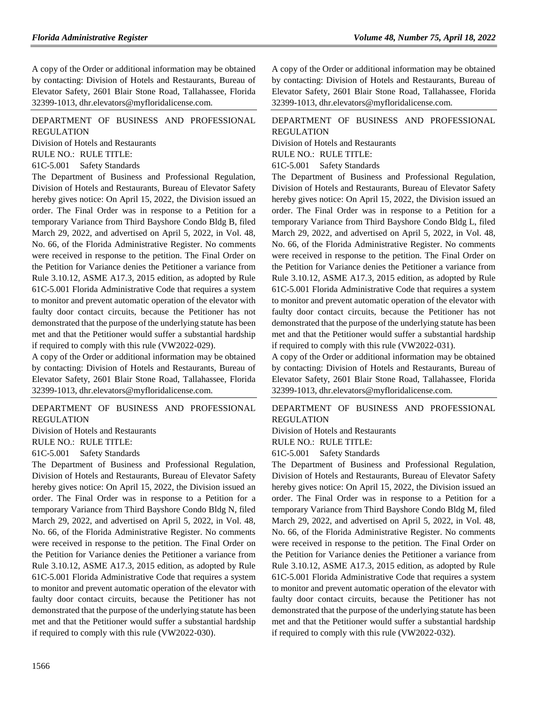A copy of the Order or additional information may be obtained by contacting: Division of Hotels and Restaurants, Bureau of Elevator Safety, 2601 Blair Stone Road, Tallahassee, Florida 32399-1013, dhr.elevators@myfloridalicense.com.

## [DEPARTMENT OF BUSINESS AND PROFESSIONAL](https://flrules.org/gateway/department.asp?id=61)  [REGULATION](https://flrules.org/gateway/department.asp?id=61)

[Division of Hotels and Restaurants](https://flrules.org/gateway/organization.asp?id=249)

RULE NO.: RULE TITLE:

[61C-5.001](https://flrules.org/gateway/ruleNo.asp?id=61C-5.001) Safety Standards

The Department of Business and Professional Regulation, Division of Hotels and Restaurants, Bureau of Elevator Safety hereby gives notice: On April 15, 2022, the Division issued an order. The Final Order was in response to a Petition for a temporary Variance from Third Bayshore Condo Bldg B, filed March 29, 2022, and advertised on April 5, 2022, in Vol. 48, No. 66, of the Florida Administrative Register. No comments were received in response to the petition. The Final Order on the Petition for Variance denies the Petitioner a variance from Rule 3.10.12, ASME A17.3, 2015 edition, as adopted by Rule 61C-5.001 Florida Administrative Code that requires a system to monitor and prevent automatic operation of the elevator with faulty door contact circuits, because the Petitioner has not demonstrated that the purpose of the underlying statute has been met and that the Petitioner would suffer a substantial hardship if required to comply with this rule (VW2022-029).

A copy of the Order or additional information may be obtained by contacting: Division of Hotels and Restaurants, Bureau of Elevator Safety, 2601 Blair Stone Road, Tallahassee, Florida 32399-1013, dhr.elevators@myfloridalicense.com.

# [DEPARTMENT OF BUSINESS AND PROFESSIONAL](https://flrules.org/gateway/department.asp?id=61)  [REGULATION](https://flrules.org/gateway/department.asp?id=61)

[Division of Hotels and Restaurants](https://flrules.org/gateway/organization.asp?id=249)

RULE NO.: RULE TITLE:

[61C-5.001](https://flrules.org/gateway/ruleNo.asp?id=61C-5.001) Safety Standards

The Department of Business and Professional Regulation, Division of Hotels and Restaurants, Bureau of Elevator Safety hereby gives notice: On April 15, 2022, the Division issued an order. The Final Order was in response to a Petition for a temporary Variance from Third Bayshore Condo Bldg N, filed March 29, 2022, and advertised on April 5, 2022, in Vol. 48, No. 66, of the Florida Administrative Register. No comments were received in response to the petition. The Final Order on the Petition for Variance denies the Petitioner a variance from Rule 3.10.12, ASME A17.3, 2015 edition, as adopted by Rule 61C-5.001 Florida Administrative Code that requires a system to monitor and prevent automatic operation of the elevator with faulty door contact circuits, because the Petitioner has not demonstrated that the purpose of the underlying statute has been met and that the Petitioner would suffer a substantial hardship if required to comply with this rule (VW2022-030).

A copy of the Order or additional information may be obtained by contacting: Division of Hotels and Restaurants, Bureau of Elevator Safety, 2601 Blair Stone Road, Tallahassee, Florida 32399-1013, dhr.elevators@myfloridalicense.com.

[DEPARTMENT OF BUSINESS AND PROFESSIONAL](https://flrules.org/gateway/department.asp?id=61)  [REGULATION](https://flrules.org/gateway/department.asp?id=61)

[Division of Hotels and Restaurants](https://flrules.org/gateway/organization.asp?id=249)

RULE NO.: RULE TITLE:

[61C-5.001](https://flrules.org/gateway/ruleNo.asp?id=61C-5.001) Safety Standards

The Department of Business and Professional Regulation, Division of Hotels and Restaurants, Bureau of Elevator Safety hereby gives notice: On April 15, 2022, the Division issued an order. The Final Order was in response to a Petition for a temporary Variance from Third Bayshore Condo Bldg L, filed March 29, 2022, and advertised on April 5, 2022, in Vol. 48, No. 66, of the Florida Administrative Register. No comments were received in response to the petition. The Final Order on the Petition for Variance denies the Petitioner a variance from Rule 3.10.12, ASME A17.3, 2015 edition, as adopted by Rule 61C-5.001 Florida Administrative Code that requires a system to monitor and prevent automatic operation of the elevator with faulty door contact circuits, because the Petitioner has not demonstrated that the purpose of the underlying statute has been met and that the Petitioner would suffer a substantial hardship if required to comply with this rule (VW2022-031).

A copy of the Order or additional information may be obtained by contacting: Division of Hotels and Restaurants, Bureau of Elevator Safety, 2601 Blair Stone Road, Tallahassee, Florida 32399-1013, dhr.elevators@myfloridalicense.com.

[DEPARTMENT OF BUSINESS AND PROFESSIONAL](https://flrules.org/gateway/department.asp?id=61)  [REGULATION](https://flrules.org/gateway/department.asp?id=61)

[Division of Hotels and Restaurants](https://flrules.org/gateway/organization.asp?id=249) RULE NO.: RULE TITLE:

[61C-5.001](https://flrules.org/gateway/ruleNo.asp?id=61C-5.001) Safety Standards

The Department of Business and Professional Regulation, Division of Hotels and Restaurants, Bureau of Elevator Safety hereby gives notice: On April 15, 2022, the Division issued an order. The Final Order was in response to a Petition for a temporary Variance from Third Bayshore Condo Bldg M, filed March 29, 2022, and advertised on April 5, 2022, in Vol. 48, No. 66, of the Florida Administrative Register. No comments were received in response to the petition. The Final Order on the Petition for Variance denies the Petitioner a variance from Rule 3.10.12, ASME A17.3, 2015 edition, as adopted by Rule 61C-5.001 Florida Administrative Code that requires a system to monitor and prevent automatic operation of the elevator with faulty door contact circuits, because the Petitioner has not demonstrated that the purpose of the underlying statute has been met and that the Petitioner would suffer a substantial hardship if required to comply with this rule (VW2022-032).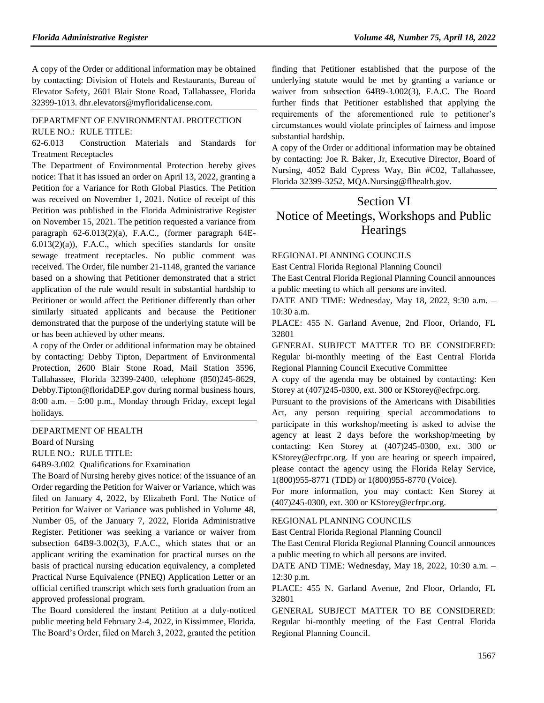A copy of the Order or additional information may be obtained by contacting: Division of Hotels and Restaurants, Bureau of Elevator Safety, 2601 Blair Stone Road, Tallahassee, Florida 32399-1013. dhr.elevators@myfloridalicense.com.

## [DEPARTMENT OF ENVIRONMENTAL PROTECTION](https://flrules.org/gateway/department.asp?id=62) RULE NO.: RULE TITLE:

[62-6.013](https://flrules.org/gateway/ruleNo.asp?id=62-6.013) Construction Materials and Standards for Treatment Receptacles

The Department of Environmental Protection hereby gives notice: That it has issued an order on April 13, 2022, granting a Petition for a Variance for Roth Global Plastics. The Petition was received on November 1, 2021. Notice of receipt of this Petition was published in the Florida Administrative Register on November 15, 2021. The petition requested a variance from paragraph 62-6.013(2)(a), F.A.C., (former paragraph 64E- $6.013(2)(a)$ ), F.A.C., which specifies standards for onsite sewage treatment receptacles. No public comment was received. The Order, file number 21-1148, granted the variance based on a showing that Petitioner demonstrated that a strict application of the rule would result in substantial hardship to Petitioner or would affect the Petitioner differently than other similarly situated applicants and because the Petitioner demonstrated that the purpose of the underlying statute will be or has been achieved by other means.

A copy of the Order or additional information may be obtained by contacting: Debby Tipton, Department of Environmental Protection, 2600 Blair Stone Road, Mail Station 3596, Tallahassee, Florida 32399-2400, telephone (850)245-8629, Debby.Tipton@floridaDEP.gov during normal business hours, 8:00 a.m. – 5:00 p.m., Monday through Friday, except legal holidays.

#### [DEPARTMENT OF HEALTH](https://flrules.org/gateway/department.asp?id=64)

[Board of Nursing](https://flrules.org/gateway/organization.asp?id=332)

RULE NO.: RULE TITLE:

[64B9-3.002](https://flrules.org/gateway/ruleNo.asp?id=64B9-3.002) Qualifications for Examination

The Board of Nursing hereby gives notice: of the issuance of an Order regarding the Petition for Waiver or Variance, which was filed on January 4, 2022, by Elizabeth Ford. The Notice of Petition for Waiver or Variance was published in Volume 48, Number 05, of the January 7, 2022, Florida Administrative Register. Petitioner was seeking a variance or waiver from subsection 64B9-3.002(3), F.A.C., which states that or an applicant writing the examination for practical nurses on the basis of practical nursing education equivalency, a completed Practical Nurse Equivalence (PNEQ) Application Letter or an official certified transcript which sets forth graduation from an approved professional program.

The Board considered the instant Petition at a duly-noticed public meeting held February 2-4, 2022, in Kissimmee, Florida. The Board's Order, filed on March 3, 2022, granted the petition finding that Petitioner established that the purpose of the underlying statute would be met by granting a variance or waiver from subsection 64B9-3.002(3), F.A.C. The Board further finds that Petitioner established that applying the requirements of the aforementioned rule to petitioner's circumstances would violate principles of fairness and impose substantial hardship.

A copy of the Order or additional information may be obtained by contacting: Joe R. Baker, Jr, Executive Director, Board of Nursing, 4052 Bald Cypress Way, Bin #C02, Tallahassee, Florida 32399-3252, MQA.Nursing@flhealth.gov.

# Section VI Notice of Meetings, Workshops and Public Hearings

#### [REGIONAL PLANNING COUNCILS](https://flrules.org/gateway/department.asp?id=29)

[East Central Florida Regional Planning Council](https://flrules.org/gateway/organization.asp?id=62)

The East Central Florida Regional Planning Council announces a public meeting to which all persons are invited.

DATE AND TIME: Wednesday, May 18, 2022, 9:30 a.m. – 10:30 a.m.

PLACE: 455 N. Garland Avenue, 2nd Floor, Orlando, FL 32801

GENERAL SUBJECT MATTER TO BE CONSIDERED: Regular bi-monthly meeting of the East Central Florida Regional Planning Council Executive Committee

A copy of the agenda may be obtained by contacting: Ken Storey at (407)245-0300, ext. 300 or KStorey@ecfrpc.org.

Pursuant to the provisions of the Americans with Disabilities Act, any person requiring special accommodations to participate in this workshop/meeting is asked to advise the agency at least 2 days before the workshop/meeting by contacting: Ken Storey at (407)245-0300, ext. 300 or KStorey@ecfrpc.org. If you are hearing or speech impaired, please contact the agency using the Florida Relay Service, 1(800)955-8771 (TDD) or 1(800)955-8770 (Voice).

For more information, you may contact: Ken Storey at (407)245-0300, ext. 300 or KStorey@ecfrpc.org.

#### [REGIONAL PLANNING COUNCILS](https://flrules.org/gateway/department.asp?id=29)

[East Central Florida Regional Planning Council](https://flrules.org/gateway/organization.asp?id=62)

The East Central Florida Regional Planning Council announces a public meeting to which all persons are invited.

DATE AND TIME: Wednesday, May 18, 2022, 10:30 a.m. – 12:30 p.m.

PLACE: 455 N. Garland Avenue, 2nd Floor, Orlando, FL 32801

GENERAL SUBJECT MATTER TO BE CONSIDERED: Regular bi-monthly meeting of the East Central Florida Regional Planning Council.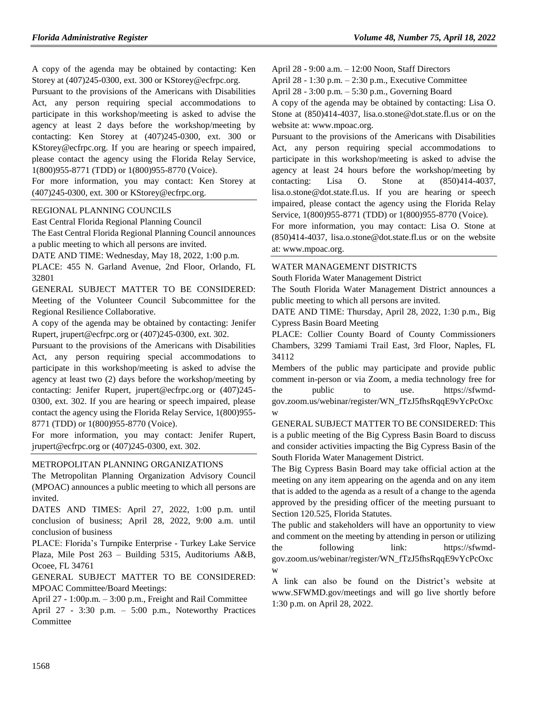A copy of the agenda may be obtained by contacting: Ken Storey at (407)245-0300, ext. 300 or KStorey@ecfrpc.org.

Pursuant to the provisions of the Americans with Disabilities Act, any person requiring special accommodations to participate in this workshop/meeting is asked to advise the agency at least 2 days before the workshop/meeting by contacting: Ken Storey at (407)245-0300, ext. 300 or KStorey@ecfrpc.org. If you are hearing or speech impaired, please contact the agency using the Florida Relay Service, 1(800)955-8771 (TDD) or 1(800)955-8770 (Voice).

For more information, you may contact: Ken Storey at (407)245-0300, ext. 300 or KStorey@ecfrpc.org.

#### [REGIONAL PLANNING COUNCILS](https://flrules.org/gateway/department.asp?id=29)

[East Central Florida Regional Planning Council](https://flrules.org/gateway/organization.asp?id=62)

The East Central Florida Regional Planning Council announces a public meeting to which all persons are invited.

DATE AND TIME: Wednesday, May 18, 2022, 1:00 p.m.

PLACE: 455 N. Garland Avenue, 2nd Floor, Orlando, FL 32801

GENERAL SUBJECT MATTER TO BE CONSIDERED: Meeting of the Volunteer Council Subcommittee for the Regional Resilience Collaborative.

A copy of the agenda may be obtained by contacting: Jenifer Rupert, jrupert@ecfrpc.org or (407)245-0300, ext. 302.

Pursuant to the provisions of the Americans with Disabilities Act, any person requiring special accommodations to participate in this workshop/meeting is asked to advise the agency at least two (2) days before the workshop/meeting by contacting: Jenifer Rupert, jrupert@ecfrpc.org or (407)245- 0300, ext. 302. If you are hearing or speech impaired, please contact the agency using the Florida Relay Service, 1(800)955- 8771 (TDD) or 1(800)955-8770 (Voice).

For more information, you may contact: Jenifer Rupert, jrupert@ecfrpc.org or (407)245-0300, ext. 302.

### [METROPOLITAN PLANNING ORGANIZATIONS](https://flrules.org/gateway/department.asp?id=35)

The Metropolitan Planning Organization Advisory Council (MPOAC) announces a public meeting to which all persons are invited.

DATES AND TIMES: April 27, 2022, 1:00 p.m. until conclusion of business; April 28, 2022, 9:00 a.m. until conclusion of business

PLACE: Florida's Turnpike Enterprise - Turkey Lake Service Plaza, Mile Post 263 – Building 5315, Auditoriums A&B, Ocoee, FL 34761

GENERAL SUBJECT MATTER TO BE CONSIDERED: MPOAC Committee/Board Meetings:

April 27 - 1:00p.m. – 3:00 p.m., Freight and Rail Committee April 27 - 3:30 p.m. – 5:00 p.m., Noteworthy Practices Committee

April 28 - 9:00 a.m. – 12:00 Noon, Staff Directors

April 28 - 1:30 p.m. – 2:30 p.m., Executive Committee

April 28 - 3:00 p.m. – 5:30 p.m., Governing Board

A copy of the agenda may be obtained by contacting: Lisa O. Stone at (850)414-4037, lisa.o.stone@dot.state.fl.us or on the website at: www.mpoac.org.

Pursuant to the provisions of the Americans with Disabilities Act, any person requiring special accommodations to participate in this workshop/meeting is asked to advise the agency at least 24 hours before the workshop/meeting by contacting: Lisa O. Stone at (850)414-4037, lisa.o.stone@dot.state.fl.us. If you are hearing or speech impaired, please contact the agency using the Florida Relay Service, 1(800)955-8771 (TDD) or 1(800)955-8770 (Voice).

For more information, you may contact: Lisa O. Stone at (850)414-4037, lisa.o.stone@dot.state.fl.us or on the website at: www.mpoac.org.

#### [WATER MANAGEMENT DISTRICTS](https://flrules.org/gateway/department.asp?id=40)

[South Florida Water Management District](https://flrules.org/gateway/organization.asp?id=124)

The South Florida Water Management District announces a public meeting to which all persons are invited.

DATE AND TIME: Thursday, April 28, 2022, 1:30 p.m., Big Cypress Basin Board Meeting

PLACE: Collier County Board of County Commissioners Chambers, 3299 Tamiami Trail East, 3rd Floor, Naples, FL 34112

Members of the public may participate and provide public comment in-person or via Zoom, a media technology free for the public to use. https://sfwmdgov.zoom.us/webinar/register/WN\_fTzJ5fhsRqqE9vYcPcOxc w

GENERAL SUBJECT MATTER TO BE CONSIDERED: This is a public meeting of the Big Cypress Basin Board to discuss and consider activities impacting the Big Cypress Basin of the South Florida Water Management District.

The Big Cypress Basin Board may take official action at the meeting on any item appearing on the agenda and on any item that is added to the agenda as a result of a change to the agenda approved by the presiding officer of the meeting pursuant to Section 120.525, Florida Statutes.

The public and stakeholders will have an opportunity to view and comment on the meeting by attending in person or utilizing the following link: https://sfwmdgov.zoom.us/webinar/register/WN\_fTzJ5fhsRqqE9vYcPcOxc w

A link can also be found on the District's website at www.SFWMD.gov/meetings and will go live shortly before 1:30 p.m. on April 28, 2022.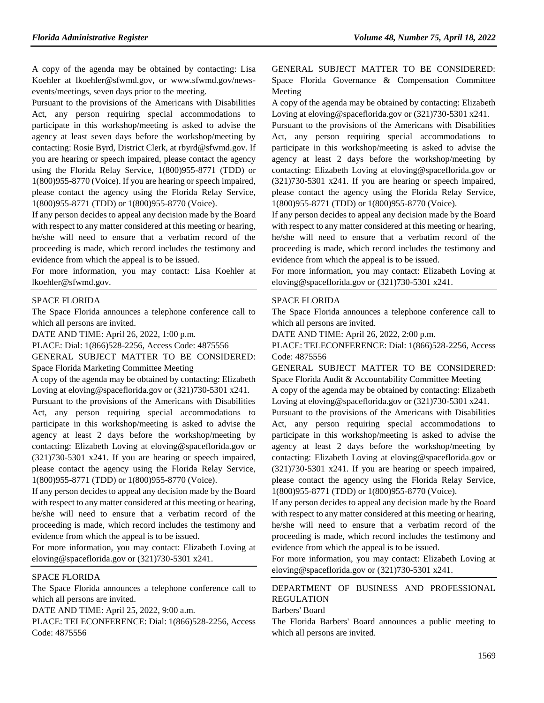A copy of the agenda may be obtained by contacting: Lisa Koehler at lkoehler@sfwmd.gov, or www.sfwmd.gov/newsevents/meetings, seven days prior to the meeting.

Pursuant to the provisions of the Americans with Disabilities Act, any person requiring special accommodations to participate in this workshop/meeting is asked to advise the agency at least seven days before the workshop/meeting by contacting: Rosie Byrd, District Clerk, at rbyrd@sfwmd.gov. If you are hearing or speech impaired, please contact the agency using the Florida Relay Service, 1(800)955-8771 (TDD) or 1(800)955-8770 (Voice). If you are hearing or speech impaired, please contact the agency using the Florida Relay Service, 1(800)955-8771 (TDD) or 1(800)955-8770 (Voice).

If any person decides to appeal any decision made by the Board with respect to any matter considered at this meeting or hearing, he/she will need to ensure that a verbatim record of the proceeding is made, which record includes the testimony and evidence from which the appeal is to be issued.

For more information, you may contact: Lisa Koehler at lkoehler@sfwmd.gov.

#### [SPACE FLORIDA](https://flrules.org/gateway/department.asp?id=57)

The Space Florida announces a telephone conference call to which all persons are invited.

DATE AND TIME: April 26, 2022, 1:00 p.m.

PLACE: Dial: 1(866)528-2256, Access Code: 4875556

GENERAL SUBJECT MATTER TO BE CONSIDERED: Space Florida Marketing Committee Meeting

A copy of the agenda may be obtained by contacting: Elizabeth Loving at eloving@spaceflorida.gov or (321)730-5301 x241.

Pursuant to the provisions of the Americans with Disabilities Act, any person requiring special accommodations to participate in this workshop/meeting is asked to advise the agency at least 2 days before the workshop/meeting by contacting: Elizabeth Loving at eloving@spaceflorida.gov or (321)730-5301 x241. If you are hearing or speech impaired, please contact the agency using the Florida Relay Service, 1(800)955-8771 (TDD) or 1(800)955-8770 (Voice).

If any person decides to appeal any decision made by the Board with respect to any matter considered at this meeting or hearing, he/she will need to ensure that a verbatim record of the proceeding is made, which record includes the testimony and evidence from which the appeal is to be issued.

For more information, you may contact: Elizabeth Loving at eloving@spaceflorida.gov or (321)730-5301 x241.

### [SPACE FLORIDA](https://flrules.org/gateway/department.asp?id=57)

The Space Florida announces a telephone conference call to which all persons are invited.

DATE AND TIME: April 25, 2022, 9:00 a.m.

PLACE: TELECONFERENCE: Dial: 1(866)528-2256, Access Code: 4875556

GENERAL SUBJECT MATTER TO BE CONSIDERED: Space Florida Governance & Compensation Committee Meeting

A copy of the agenda may be obtained by contacting: Elizabeth Loving at eloving@spaceflorida.gov or (321)730-5301 x241.

Pursuant to the provisions of the Americans with Disabilities Act, any person requiring special accommodations to participate in this workshop/meeting is asked to advise the agency at least 2 days before the workshop/meeting by contacting: Elizabeth Loving at eloving@spaceflorida.gov or (321)730-5301 x241. If you are hearing or speech impaired, please contact the agency using the Florida Relay Service, 1(800)955-8771 (TDD) or 1(800)955-8770 (Voice).

If any person decides to appeal any decision made by the Board with respect to any matter considered at this meeting or hearing, he/she will need to ensure that a verbatim record of the proceeding is made, which record includes the testimony and evidence from which the appeal is to be issued.

For more information, you may contact: Elizabeth Loving at eloving@spaceflorida.gov or (321)730-5301 x241.

#### [SPACE FLORIDA](https://flrules.org/gateway/department.asp?id=57)

The Space Florida announces a telephone conference call to which all persons are invited.

DATE AND TIME: April 26, 2022, 2:00 p.m.

PLACE: TELECONFERENCE: Dial: 1(866)528-2256, Access Code: 4875556

GENERAL SUBJECT MATTER TO BE CONSIDERED: Space Florida Audit & Accountability Committee Meeting

A copy of the agenda may be obtained by contacting: Elizabeth Loving at eloving@spaceflorida.gov or (321)730-5301 x241.

Pursuant to the provisions of the Americans with Disabilities Act, any person requiring special accommodations to participate in this workshop/meeting is asked to advise the agency at least 2 days before the workshop/meeting by contacting: Elizabeth Loving at eloving@spaceflorida.gov or (321)730-5301 x241. If you are hearing or speech impaired, please contact the agency using the Florida Relay Service, 1(800)955-8771 (TDD) or 1(800)955-8770 (Voice).

If any person decides to appeal any decision made by the Board with respect to any matter considered at this meeting or hearing, he/she will need to ensure that a verbatim record of the proceeding is made, which record includes the testimony and evidence from which the appeal is to be issued.

For more information, you may contact: Elizabeth Loving at eloving@spaceflorida.gov or (321)730-5301 x241.

# [DEPARTMENT OF BUSINESS AND PROFESSIONAL](https://flrules.org/gateway/department.asp?id=61)  [REGULATION](https://flrules.org/gateway/department.asp?id=61)

[Barbers' Board](https://flrules.org/gateway/organization.asp?id=273)

The Florida Barbers' Board announces a public meeting to which all persons are invited.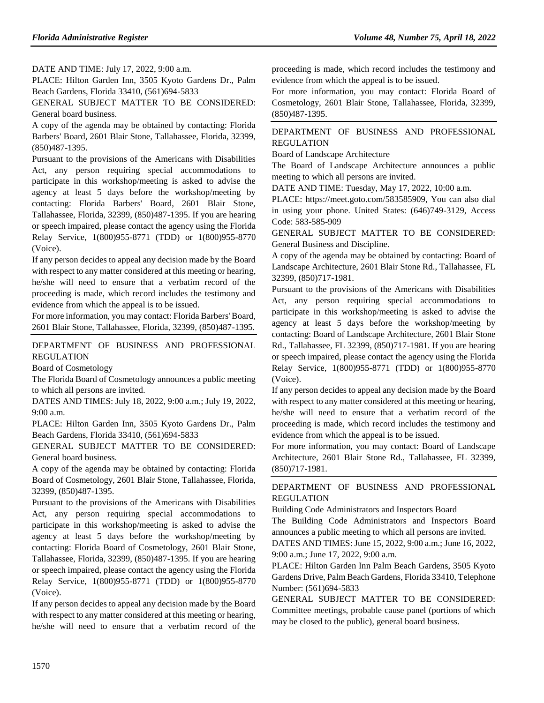DATE AND TIME: July 17, 2022, 9:00 a.m.

PLACE: Hilton Garden Inn, 3505 Kyoto Gardens Dr., Palm Beach Gardens, Florida 33410, (561)694-5833

GENERAL SUBJECT MATTER TO BE CONSIDERED: General board business.

A copy of the agenda may be obtained by contacting: Florida Barbers' Board, 2601 Blair Stone, Tallahassee, Florida, 32399, (850)487-1395.

Pursuant to the provisions of the Americans with Disabilities Act, any person requiring special accommodations to participate in this workshop/meeting is asked to advise the agency at least 5 days before the workshop/meeting by contacting: Florida Barbers' Board, 2601 Blair Stone, Tallahassee, Florida, 32399, (850)487-1395. If you are hearing or speech impaired, please contact the agency using the Florida Relay Service, 1(800)955-8771 (TDD) or 1(800)955-8770 (Voice).

If any person decides to appeal any decision made by the Board with respect to any matter considered at this meeting or hearing, he/she will need to ensure that a verbatim record of the proceeding is made, which record includes the testimony and evidence from which the appeal is to be issued.

For more information, you may contact: Florida Barbers' Board, 2601 Blair Stone, Tallahassee, Florida, 32399, (850)487-1395.

[DEPARTMENT OF BUSINESS AND PROFESSIONAL](https://flrules.org/gateway/department.asp?id=61)  [REGULATION](https://flrules.org/gateway/department.asp?id=61)

[Board of Cosmetology](https://flrules.org/gateway/organization.asp?id=275)

The Florida Board of Cosmetology announces a public meeting to which all persons are invited.

DATES AND TIMES: July 18, 2022, 9:00 a.m.; July 19, 2022, 9:00 a.m.

PLACE: Hilton Garden Inn, 3505 Kyoto Gardens Dr., Palm Beach Gardens, Florida 33410, (561)694-5833

GENERAL SUBJECT MATTER TO BE CONSIDERED: General board business.

A copy of the agenda may be obtained by contacting: Florida Board of Cosmetology, 2601 Blair Stone, Tallahassee, Florida, 32399, (850)487-1395.

Pursuant to the provisions of the Americans with Disabilities Act, any person requiring special accommodations to participate in this workshop/meeting is asked to advise the agency at least 5 days before the workshop/meeting by contacting: Florida Board of Cosmetology, 2601 Blair Stone, Tallahassee, Florida, 32399, (850)487-1395. If you are hearing or speech impaired, please contact the agency using the Florida Relay Service, 1(800)955-8771 (TDD) or 1(800)955-8770 (Voice).

If any person decides to appeal any decision made by the Board with respect to any matter considered at this meeting or hearing, he/she will need to ensure that a verbatim record of the

proceeding is made, which record includes the testimony and evidence from which the appeal is to be issued.

For more information, you may contact: Florida Board of Cosmetology, 2601 Blair Stone, Tallahassee, Florida, 32399, (850)487-1395.

## [DEPARTMENT OF BUSINESS AND PROFESSIONAL](https://flrules.org/gateway/department.asp?id=61)  [REGULATION](https://flrules.org/gateway/department.asp?id=61)

[Board of Landscape Architecture](https://flrules.org/gateway/organization.asp?id=264)

The Board of Landscape Architecture announces a public meeting to which all persons are invited.

DATE AND TIME: Tuesday, May 17, 2022, 10:00 a.m.

PLACE: https://meet.goto.com/583585909, You can also dial in using your phone. United States: (646)749-3129, Access Code: 583-585-909

GENERAL SUBJECT MATTER TO BE CONSIDERED: General Business and Discipline.

A copy of the agenda may be obtained by contacting: Board of Landscape Architecture, 2601 Blair Stone Rd., Tallahassee, FL 32399, (850)717-1981.

Pursuant to the provisions of the Americans with Disabilities Act, any person requiring special accommodations to participate in this workshop/meeting is asked to advise the agency at least 5 days before the workshop/meeting by contacting: Board of Landscape Architecture, 2601 Blair Stone Rd., Tallahassee, FL 32399, (850)717-1981. If you are hearing or speech impaired, please contact the agency using the Florida Relay Service, 1(800)955-8771 (TDD) or 1(800)955-8770 (Voice).

If any person decides to appeal any decision made by the Board with respect to any matter considered at this meeting or hearing, he/she will need to ensure that a verbatim record of the proceeding is made, which record includes the testimony and evidence from which the appeal is to be issued.

For more information, you may contact: Board of Landscape Architecture, 2601 Blair Stone Rd., Tallahassee, FL 32399, (850)717-1981.

[DEPARTMENT OF BUSINESS AND PROFESSIONAL](https://flrules.org/gateway/department.asp?id=61)  [REGULATION](https://flrules.org/gateway/department.asp?id=61)

[Building Code Administrators and Inspectors Board](https://flrules.org/gateway/organization.asp?id=271)

The Building Code Administrators and Inspectors Board announces a public meeting to which all persons are invited.

DATES AND TIMES: June 15, 2022, 9:00 a.m.; June 16, 2022, 9:00 a.m.; June 17, 2022, 9:00 a.m.

PLACE: Hilton Garden Inn Palm Beach Gardens, 3505 Kyoto Gardens Drive, Palm Beach Gardens, Florida 33410, Telephone Number: (561)694-5833

GENERAL SUBJECT MATTER TO BE CONSIDERED: Committee meetings, probable cause panel (portions of which may be closed to the public), general board business.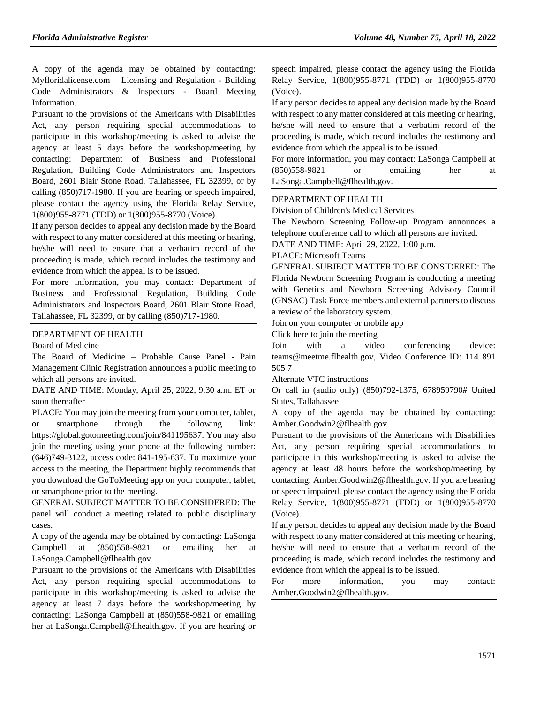A copy of the agenda may be obtained by contacting: Myfloridalicense.com – Licensing and Regulation - Building Code Administrators & Inspectors - Board Meeting Information.

Pursuant to the provisions of the Americans with Disabilities Act, any person requiring special accommodations to participate in this workshop/meeting is asked to advise the agency at least 5 days before the workshop/meeting by contacting: Department of Business and Professional Regulation, Building Code Administrators and Inspectors Board, 2601 Blair Stone Road, Tallahassee, FL 32399, or by calling (850)717-1980. If you are hearing or speech impaired, please contact the agency using the Florida Relay Service, 1(800)955-8771 (TDD) or 1(800)955-8770 (Voice).

If any person decides to appeal any decision made by the Board with respect to any matter considered at this meeting or hearing, he/she will need to ensure that a verbatim record of the proceeding is made, which record includes the testimony and evidence from which the appeal is to be issued.

For more information, you may contact: Department of Business and Professional Regulation, Building Code Administrators and Inspectors Board, 2601 Blair Stone Road, Tallahassee, FL 32399, or by calling (850)717-1980.

#### [DEPARTMENT OF HEALTH](https://flrules.org/gateway/department.asp?id=64)

[Board of Medicine](https://flrules.org/gateway/organization.asp?id=331)

The Board of Medicine – Probable Cause Panel - Pain Management Clinic Registration announces a public meeting to which all persons are invited.

DATE AND TIME: Monday, April 25, 2022, 9:30 a.m. ET or soon thereafter

PLACE: You may join the meeting from your computer, tablet, or smartphone through the following link: https://global.gotomeeting.com/join/841195637. You may also join the meeting using your phone at the following number: (646)749-3122, access code: 841-195-637. To maximize your access to the meeting, the Department highly recommends that you download the GoToMeeting app on your computer, tablet, or smartphone prior to the meeting.

GENERAL SUBJECT MATTER TO BE CONSIDERED: The panel will conduct a meeting related to public disciplinary cases.

A copy of the agenda may be obtained by contacting: LaSonga Campbell at (850)558-9821 or emailing her at LaSonga.Campbell@flhealth.gov.

Pursuant to the provisions of the Americans with Disabilities Act, any person requiring special accommodations to participate in this workshop/meeting is asked to advise the agency at least 7 days before the workshop/meeting by contacting: LaSonga Campbell at (850)558-9821 or emailing her at LaSonga.Campbell@flhealth.gov. If you are hearing or speech impaired, please contact the agency using the Florida Relay Service, 1(800)955-8771 (TDD) or 1(800)955-8770 (Voice).

If any person decides to appeal any decision made by the Board with respect to any matter considered at this meeting or hearing, he/she will need to ensure that a verbatim record of the proceeding is made, which record includes the testimony and evidence from which the appeal is to be issued.

For more information, you may contact: LaSonga Campbell at (850)558-9821 or emailing her at LaSonga.Campbell@flhealth.gov.

#### [DEPARTMENT OF HEALTH](https://flrules.org/gateway/department.asp?id=64)

[Division of Children's Medical Services](https://flrules.org/gateway/organization.asp?id=333)

The Newborn Screening Follow-up Program announces a telephone conference call to which all persons are invited.

DATE AND TIME: April 29, 2022, 1:00 p.m.

PLACE: Microsoft Teams

GENERAL SUBJECT MATTER TO BE CONSIDERED: The Florida Newborn Screening Program is conducting a meeting with Genetics and Newborn Screening Advisory Council (GNSAC) Task Force members and external partners to discuss a review of the laboratory system.

Join on your computer or mobile app

Click here to join the meeting

Join with a video conferencing device: teams@meetme.flhealth.gov, Video Conference ID: 114 891 505 7

Alternate VTC instructions

Or call in (audio only) (850)792-1375, 678959790# United States, Tallahassee

A copy of the agenda may be obtained by contacting: Amber.Goodwin2@flhealth.gov.

Pursuant to the provisions of the Americans with Disabilities Act, any person requiring special accommodations to participate in this workshop/meeting is asked to advise the agency at least 48 hours before the workshop/meeting by contacting: Amber.Goodwin2@flhealth.gov. If you are hearing or speech impaired, please contact the agency using the Florida Relay Service, 1(800)955-8771 (TDD) or 1(800)955-8770 (Voice).

If any person decides to appeal any decision made by the Board with respect to any matter considered at this meeting or hearing, he/she will need to ensure that a verbatim record of the proceeding is made, which record includes the testimony and evidence from which the appeal is to be issued.

For more information, you may contact: Amber.Goodwin2@flhealth.gov.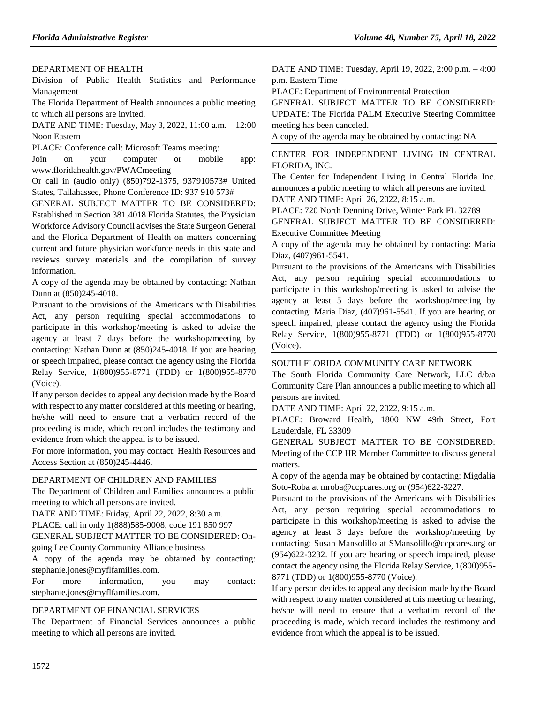### [DEPARTMENT OF HEALTH](https://flrules.org/gateway/department.asp?id=64)

[Division of Public Health Statistics and Performance](https://flrules.org/gateway/organization.asp?id=1152)  [Management](https://flrules.org/gateway/organization.asp?id=1152)

The Florida Department of Health announces a public meeting to which all persons are invited.

DATE AND TIME: Tuesday, May 3, 2022, 11:00 a.m. – 12:00 Noon Eastern

PLACE: Conference call: Microsoft Teams meeting:

Join on your computer or mobile app: www.floridahealth.gov/PWACmeeting

Or call in (audio only) (850)792-1375, 937910573# United States, Tallahassee, Phone Conference ID: 937 910 573#

GENERAL SUBJECT MATTER TO BE CONSIDERED: Established in Section 381.4018 Florida Statutes, the Physician Workforce Advisory Council advises the State Surgeon General and the Florida Department of Health on matters concerning current and future physician workforce needs in this state and reviews survey materials and the compilation of survey information.

A copy of the agenda may be obtained by contacting: Nathan Dunn at (850)245-4018.

Pursuant to the provisions of the Americans with Disabilities Act, any person requiring special accommodations to participate in this workshop/meeting is asked to advise the agency at least 7 days before the workshop/meeting by contacting: Nathan Dunn at (850)245-4018. If you are hearing or speech impaired, please contact the agency using the Florida Relay Service, 1(800)955-8771 (TDD) or 1(800)955-8770 (Voice).

If any person decides to appeal any decision made by the Board with respect to any matter considered at this meeting or hearing, he/she will need to ensure that a verbatim record of the proceeding is made, which record includes the testimony and evidence from which the appeal is to be issued.

For more information, you may contact: Health Resources and Access Section at (850)245-4446.

#### [DEPARTMENT OF CHILDREN AND FAMILIES](https://flrules.org/gateway/department.asp?id=65)

The Department of Children and Families announces a public meeting to which all persons are invited.

DATE AND TIME: Friday, April 22, 2022, 8:30 a.m.

PLACE: call in only 1(888)585-9008, code 191 850 997

GENERAL SUBJECT MATTER TO BE CONSIDERED: On-

going Lee County Community Alliance business

A copy of the agenda may be obtained by contacting: stephanie.jones@myflfamilies.com.

For more information, you may contact: stephanie.jones@myflfamilies.com.

### [DEPARTMENT OF FINANCIAL SERVICES](https://flrules.org/gateway/department.asp?id=69)

The Department of Financial Services announces a public meeting to which all persons are invited.

DATE AND TIME: Tuesday, April 19, 2022, 2:00 p.m. – 4:00 p.m. Eastern Time

PLACE: Department of Environmental Protection

GENERAL SUBJECT MATTER TO BE CONSIDERED: UPDATE: The Florida PALM Executive Steering Committee meeting has been canceled.

A copy of the agenda may be obtained by contacting: NA

[CENTER FOR INDEPENDENT LIVING IN CENTRAL](https://flrules.org/gateway/organization.asp?id=760)  [FLORIDA, INC.](https://flrules.org/gateway/organization.asp?id=760)

The Center for Independent Living in Central Florida Inc. announces a public meeting to which all persons are invited. DATE AND TIME: April 26, 2022, 8:15 a.m.

PLACE: 720 North Denning Drive, Winter Park FL 32789 GENERAL SUBJECT MATTER TO BE CONSIDERED: Executive Committee Meeting

A copy of the agenda may be obtained by contacting: Maria Diaz, (407)961-5541.

Pursuant to the provisions of the Americans with Disabilities Act, any person requiring special accommodations to participate in this workshop/meeting is asked to advise the agency at least 5 days before the workshop/meeting by contacting: Maria Diaz, (407)961-5541. If you are hearing or speech impaired, please contact the agency using the Florida Relay Service, 1(800)955-8771 (TDD) or 1(800)955-8770 (Voice).

#### [SOUTH FLORIDA COMMUNITY CARE NETWORK](https://flrules.org/gateway/organization.asp?id=1130)

The South Florida Community Care Network, LLC d/b/a Community Care Plan announces a public meeting to which all persons are invited.

DATE AND TIME: April 22, 2022, 9:15 a.m.

PLACE: Broward Health, 1800 NW 49th Street, Fort Lauderdale, FL 33309

GENERAL SUBJECT MATTER TO BE CONSIDERED: Meeting of the CCP HR Member Committee to discuss general matters.

A copy of the agenda may be obtained by contacting: Migdalia Soto-Roba at mroba@ccpcares.org or (954)622-3227.

Pursuant to the provisions of the Americans with Disabilities Act, any person requiring special accommodations to participate in this workshop/meeting is asked to advise the agency at least 3 days before the workshop/meeting by contacting: Susan Mansolillo at SMansolillo@ccpcares.org or (954)622-3232. If you are hearing or speech impaired, please contact the agency using the Florida Relay Service, 1(800)955- 8771 (TDD) or 1(800)955-8770 (Voice).

If any person decides to appeal any decision made by the Board with respect to any matter considered at this meeting or hearing, he/she will need to ensure that a verbatim record of the proceeding is made, which record includes the testimony and evidence from which the appeal is to be issued.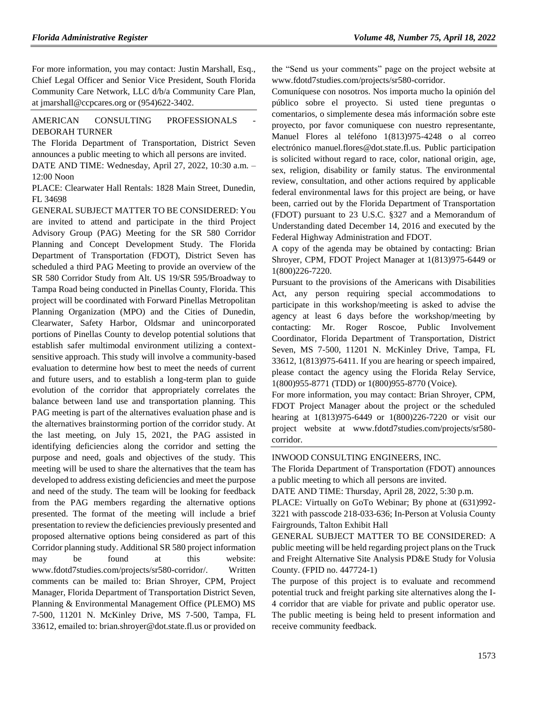For more information, you may contact: Justin Marshall, Esq., Chief Legal Officer and Senior Vice President, South Florida Community Care Network, LLC d/b/a Community Care Plan, at jmarshall@ccpcares.org or (954)622-3402.

### AMERICAN CONSULTING PROFESSIONALS [DEBORAH TURNER](https://flrules.org/gateway/organization.asp?id=977)

The Florida Department of Transportation, District Seven announces a public meeting to which all persons are invited.

DATE AND TIME: Wednesday, April 27, 2022, 10:30 a.m. – 12:00 Noon

PLACE: Clearwater Hall Rentals: 1828 Main Street, Dunedin, FL 34698

GENERAL SUBJECT MATTER TO BE CONSIDERED: You are invited to attend and participate in the third Project Advisory Group (PAG) Meeting for the SR 580 Corridor Planning and Concept Development Study. The Florida Department of Transportation (FDOT), District Seven has scheduled a third PAG Meeting to provide an overview of the SR 580 Corridor Study from Alt. US 19/SR 595/Broadway to Tampa Road being conducted in Pinellas County, Florida. This project will be coordinated with Forward Pinellas Metropolitan Planning Organization (MPO) and the Cities of Dunedin, Clearwater, Safety Harbor, Oldsmar and unincorporated portions of Pinellas County to develop potential solutions that establish safer multimodal environment utilizing a contextsensitive approach. This study will involve a community-based evaluation to determine how best to meet the needs of current and future users, and to establish a long-term plan to guide evolution of the corridor that appropriately correlates the balance between land use and transportation planning. This PAG meeting is part of the alternatives evaluation phase and is the alternatives brainstorming portion of the corridor study. At the last meeting, on July 15, 2021, the PAG assisted in identifying deficiencies along the corridor and setting the purpose and need, goals and objectives of the study. This meeting will be used to share the alternatives that the team has developed to address existing deficiencies and meet the purpose and need of the study. The team will be looking for feedback from the PAG members regarding the alternative options presented. The format of the meeting will include a brief presentation to review the deficiencies previously presented and proposed alternative options being considered as part of this Corridor planning study. Additional SR 580 project information may be found at this website: www.fdotd7studies.com/projects/sr580-corridor/. Written comments can be mailed to: Brian Shroyer, CPM, Project Manager, Florida Department of Transportation District Seven, Planning & Environmental Management Office (PLEMO) MS 7-500, 11201 N. McKinley Drive, MS 7-500, Tampa, FL 33612, emailed to: brian.shroyer@dot.state.fl.us or provided on the "Send us your comments" page on the project website at www.fdotd7studies.com/projects/sr580-corridor.

Comuníquese con nosotros. Nos importa mucho la opinión del público sobre el proyecto. Si usted tiene preguntas o comentarios, o simplemente desea más información sobre este proyecto, por favor comuniquese con nuestro representante, Manuel Flores al teléfono 1(813)975-4248 o al correo electrónico manuel.flores@dot.state.fl.us. Public participation is solicited without regard to race, color, national origin, age, sex, religion, disability or family status. The environmental review, consultation, and other actions required by applicable federal environmental laws for this project are being, or have been, carried out by the Florida Department of Transportation (FDOT) pursuant to 23 U.S.C. §327 and a Memorandum of Understanding dated December 14, 2016 and executed by the Federal Highway Administration and FDOT.

A copy of the agenda may be obtained by contacting: Brian Shroyer, CPM, FDOT Project Manager at 1(813)975-6449 or 1(800)226-7220.

Pursuant to the provisions of the Americans with Disabilities Act, any person requiring special accommodations to participate in this workshop/meeting is asked to advise the agency at least 6 days before the workshop/meeting by contacting: Mr. Roger Roscoe, Public Involvement Coordinator, Florida Department of Transportation, District Seven, MS 7-500, 11201 N. McKinley Drive, Tampa, FL 33612, 1(813)975-6411. If you are hearing or speech impaired, please contact the agency using the Florida Relay Service, 1(800)955-8771 (TDD) or 1(800)955-8770 (Voice).

For more information, you may contact: Brian Shroyer, CPM, FDOT Project Manager about the project or the scheduled hearing at 1(813)975-6449 or 1(800)226-7220 or visit our project website at www.fdotd7studies.com/projects/sr580 corridor.

[INWOOD CONSULTING ENGINEERS, INC.](https://flrules.org/gateway/organization.asp?id=992)

The Florida Department of Transportation (FDOT) announces a public meeting to which all persons are invited.

DATE AND TIME: Thursday, April 28, 2022, 5:30 p.m.

PLACE: Virtually on GoTo Webinar; By phone at (631)992- 3221 with passcode 218-033-636; In-Person at Volusia County Fairgrounds, Talton Exhibit Hall

GENERAL SUBJECT MATTER TO BE CONSIDERED: A public meeting will be held regarding project plans on the Truck and Freight Alternative Site Analysis PD&E Study for Volusia County. (FPID no. 447724-1)

The purpose of this project is to evaluate and recommend potential truck and freight parking site alternatives along the I-4 corridor that are viable for private and public operator use. The public meeting is being held to present information and receive community feedback.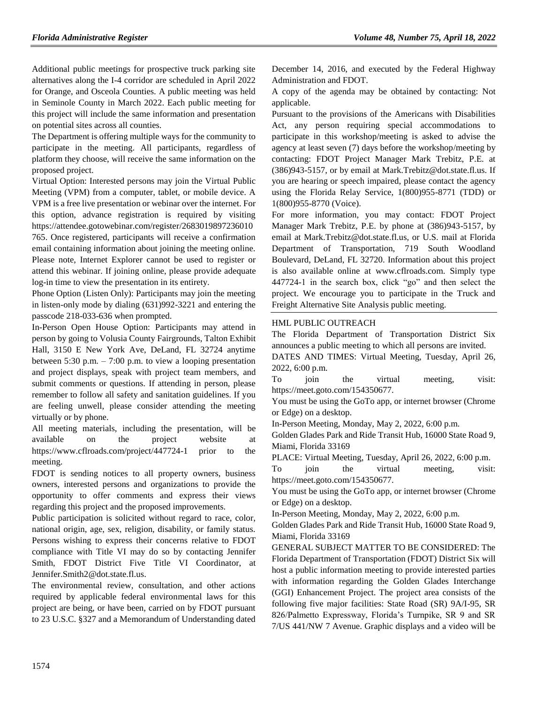Additional public meetings for prospective truck parking site alternatives along the I-4 corridor are scheduled in April 2022 for Orange, and Osceola Counties. A public meeting was held in Seminole County in March 2022. Each public meeting for this project will include the same information and presentation on potential sites across all counties.

The Department is offering multiple ways for the community to participate in the meeting. All participants, regardless of platform they choose, will receive the same information on the proposed project.

Virtual Option: Interested persons may join the Virtual Public Meeting (VPM) from a computer, tablet, or mobile device. A VPM is a free live presentation or webinar over the internet. For this option, advance registration is required by visiting https://attendee.gotowebinar.com/register/2683019897236010 765. Once registered, participants will receive a confirmation email containing information about joining the meeting online. Please note, Internet Explorer cannot be used to register or attend this webinar. If joining online, please provide adequate log-in time to view the presentation in its entirety.

Phone Option (Listen Only): Participants may join the meeting in listen-only mode by dialing (631)992-3221 and entering the passcode 218-033-636 when prompted.

In-Person Open House Option: Participants may attend in person by going to Volusia County Fairgrounds, Talton Exhibit Hall, 3150 E New York Ave, DeLand, FL 32724 anytime between 5:30 p.m.  $- 7:00$  p.m. to view a looping presentation and project displays, speak with project team members, and submit comments or questions. If attending in person, please remember to follow all safety and sanitation guidelines. If you are feeling unwell, please consider attending the meeting virtually or by phone.

All meeting materials, including the presentation, will be available on the project website at https://www.cflroads.com/project/447724-1 prior to the meeting.

FDOT is sending notices to all property owners, business owners, interested persons and organizations to provide the opportunity to offer comments and express their views regarding this project and the proposed improvements.

Public participation is solicited without regard to race, color, national origin, age, sex, religion, disability, or family status. Persons wishing to express their concerns relative to FDOT compliance with Title VI may do so by contacting Jennifer Smith, FDOT District Five Title VI Coordinator, at Jennifer.Smith2@dot.state.fl.us.

The environmental review, consultation, and other actions required by applicable federal environmental laws for this project are being, or have been, carried on by FDOT pursuant to 23 U.S.C. §327 and a Memorandum of Understanding dated

December 14, 2016, and executed by the Federal Highway Administration and FDOT.

A copy of the agenda may be obtained by contacting: Not applicable.

Pursuant to the provisions of the Americans with Disabilities Act, any person requiring special accommodations to participate in this workshop/meeting is asked to advise the agency at least seven (7) days before the workshop/meeting by contacting: FDOT Project Manager Mark Trebitz, P.E. at (386)943-5157, or by email at Mark.Trebitz@dot.state.fl.us. If you are hearing or speech impaired, please contact the agency using the Florida Relay Service, 1(800)955-8771 (TDD) or 1(800)955-8770 (Voice).

For more information, you may contact: FDOT Project Manager Mark Trebitz, P.E. by phone at (386)943-5157, by email at Mark.Trebitz@dot.state.fl.us, or U.S. mail at Florida Department of Transportation, 719 South Woodland Boulevard, DeLand, FL 32720. Information about this project is also available online at www.cflroads.com. Simply type 447724-1 in the search box, click "go" and then select the project. We encourage you to participate in the Truck and Freight Alternative Site Analysis public meeting.

## [HML PUBLIC OUTREACH](https://flrules.org/gateway/organization.asp?id=1210)

The Florida Department of Transportation District Six announces a public meeting to which all persons are invited.

DATES AND TIMES: Virtual Meeting, Tuesday, April 26, 2022, 6:00 p.m.

To join the virtual meeting, visit: https://meet.goto.com/154350677.

You must be using the GoTo app, or internet browser (Chrome or Edge) on a desktop.

In-Person Meeting, Monday, May 2, 2022, 6:00 p.m.

Golden Glades Park and Ride Transit Hub, 16000 State Road 9, Miami, Florida 33169

PLACE: Virtual Meeting, Tuesday, April 26, 2022, 6:00 p.m.

To join the virtual meeting, visit: https://meet.goto.com/154350677.

You must be using the GoTo app, or internet browser (Chrome or Edge) on a desktop.

In-Person Meeting, Monday, May 2, 2022, 6:00 p.m.

Golden Glades Park and Ride Transit Hub, 16000 State Road 9, Miami, Florida 33169

GENERAL SUBJECT MATTER TO BE CONSIDERED: The Florida Department of Transportation (FDOT) District Six will host a public information meeting to provide interested parties with information regarding the Golden Glades Interchange (GGI) Enhancement Project. The project area consists of the following five major facilities: State Road (SR) 9A/I-95, SR 826/Palmetto Expressway, Florida's Turnpike, SR 9 and SR 7/US 441/NW 7 Avenue. Graphic displays and a video will be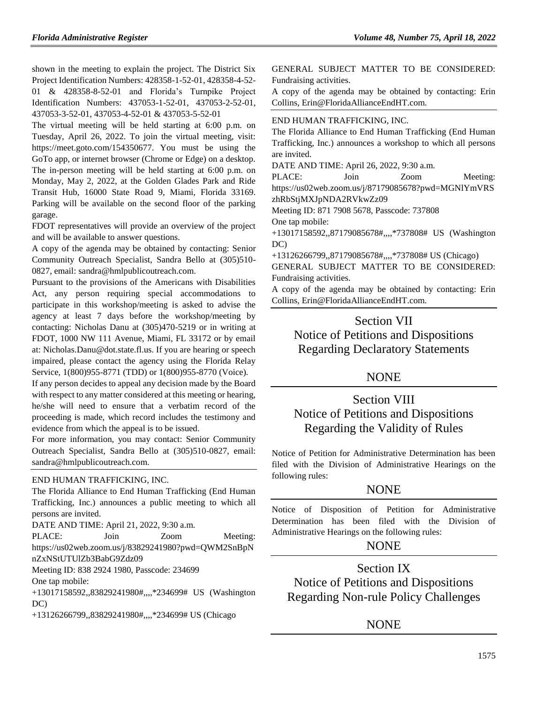shown in the meeting to explain the project. The District Six Project Identification Numbers: 428358-1-52-01, 428358-4-52- 01 & 428358-8-52-01 and Florida's Turnpike Project Identification Numbers: 437053-1-52-01, 437053-2-52-01, 437053-3-52-01, 437053-4-52-01 & 437053-5-52-01

The virtual meeting will be held starting at 6:00 p.m. on Tuesday, April 26, 2022. To join the virtual meeting, visit: https://meet.goto.com/154350677. You must be using the GoTo app, or internet browser (Chrome or Edge) on a desktop. The in-person meeting will be held starting at 6:00 p.m. on Monday, May 2, 2022, at the Golden Glades Park and Ride Transit Hub, 16000 State Road 9, Miami, Florida 33169. Parking will be available on the second floor of the parking garage.

FDOT representatives will provide an overview of the project and will be available to answer questions.

A copy of the agenda may be obtained by contacting: Senior Community Outreach Specialist, Sandra Bello at (305)510- 0827, email: sandra@hmlpublicoutreach.com.

Pursuant to the provisions of the Americans with Disabilities Act, any person requiring special accommodations to participate in this workshop/meeting is asked to advise the agency at least 7 days before the workshop/meeting by contacting: Nicholas Danu at (305)470-5219 or in writing at FDOT, 1000 NW 111 Avenue, Miami, FL 33172 or by email at: Nicholas.Danu@dot.state.fl.us. If you are hearing or speech impaired, please contact the agency using the Florida Relay Service, 1(800)955-8771 (TDD) or 1(800)955-8770 (Voice).

If any person decides to appeal any decision made by the Board with respect to any matter considered at this meeting or hearing, he/she will need to ensure that a verbatim record of the proceeding is made, which record includes the testimony and evidence from which the appeal is to be issued.

For more information, you may contact: Senior Community Outreach Specialist, Sandra Bello at (305)510-0827, email: sandra@hmlpublicoutreach.com.

#### [END HUMAN TRAFFICKING, INC.](https://flrules.org/gateway/organization.asp?id=1381)

The Florida Alliance to End Human Trafficking (End Human Trafficking, Inc.) announces a public meeting to which all persons are invited.

DATE AND TIME: April 21, 2022, 9:30 a.m.

PLACE: Join Zoom Meeting:

https://us02web.zoom.us/j/83829241980?pwd=QWM2SnBpN nZxNStUTUlZb3BabG9Zdz09

Meeting ID: 838 2924 1980, Passcode: 234699 One tap mobile:

+13017158592,,83829241980#,,,,\*234699# US (Washington DC)

+13126266799,,83829241980#,,,,\*234699# US (Chicago

GENERAL SUBJECT MATTER TO BE CONSIDERED: Fundraising activities.

A copy of the agenda may be obtained by contacting: Erin Collins, Erin@FloridaAllianceEndHT.com.

#### [END HUMAN TRAFFICKING, INC.](https://flrules.org/gateway/organization.asp?id=1381)

The Florida Alliance to End Human Trafficking (End Human Trafficking, Inc.) announces a workshop to which all persons are invited.

DATE AND TIME: April 26, 2022, 9:30 a.m.

PLACE: Join Zoom Meeting: https://us02web.zoom.us/j/87179085678?pwd=MGNlYmVRS zhRbStjMXJpNDA2RVkwZz09

Meeting ID: 871 7908 5678, Passcode: 737808

One tap mobile:

+13017158592,,87179085678#,,,,\*737808# US (Washington DC)

+13126266799,,87179085678#,,,,\*737808# US (Chicago)

GENERAL SUBJECT MATTER TO BE CONSIDERED: Fundraising activities.

A copy of the agenda may be obtained by contacting: Erin Collins, Erin@FloridaAllianceEndHT.com.

# Section VII

Notice of Petitions and Dispositions Regarding Declaratory Statements

## **NONE**

# Section VIII Notice of Petitions and Dispositions Regarding the Validity of Rules

Notice of Petition for Administrative Determination has been filed with the Division of Administrative Hearings on the following rules:

## **NONE**

Notice of Disposition of Petition for Administrative Determination has been filed with the Division of Administrative Hearings on the following rules:

## NONE

Section IX Notice of Petitions and Dispositions Regarding Non-rule Policy Challenges

# **NONE**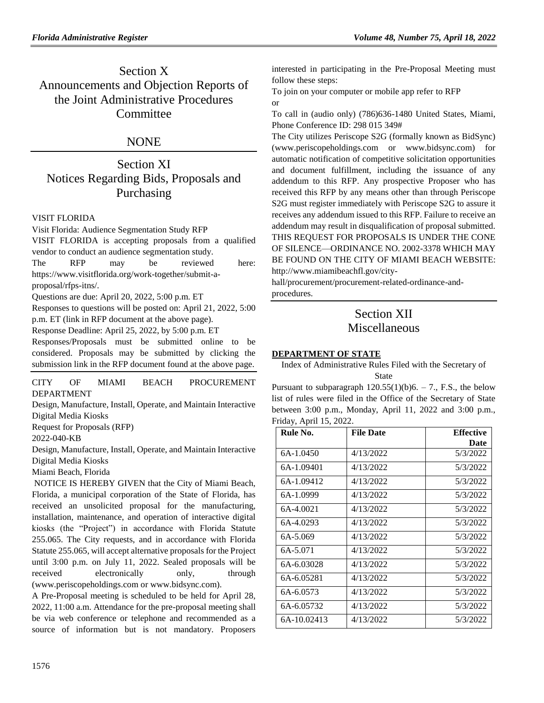# Section X Announcements and Objection Reports of the Joint Administrative Procedures **Committee**

# NONE

# Section XI Notices Regarding Bids, Proposals and Purchasing

## [VISIT FLORIDA](https://flrules.org/gateway/organization.asp?id=767)

Visit Florida: Audience Segmentation Study RFP VISIT FLORIDA is accepting proposals from a qualified vendor to conduct an audience segmentation study. The RFP may be reviewed here:

[https://www.visitflorida.org/work-together/submit-a](https://www.visitflorida.org/work-together/submit-a-proposal/rfps-itns/)[proposal/rfps-itns/.](https://www.visitflorida.org/work-together/submit-a-proposal/rfps-itns/)

Questions are due: April 20, 2022, 5:00 p.m. ET

Responses to questions will be posted on: April 21, 2022, 5:00 p.m. ET (link in RFP document at the above page).

Response Deadline: April 25, 2022, by 5:00 p.m. ET

Responses/Proposals must be submitted online to be considered. Proposals may be submitted by clicking the submission link in the RFP document found at the above page.

[CITY OF MIAMI BEACH PROCUREMENT](https://flrules.org/gateway/organization.asp?id=1228)  [DEPARTMENT](https://flrules.org/gateway/organization.asp?id=1228)

Design, Manufacture, Install, Operate, and Maintain Interactive Digital Media Kiosks

Request for Proposals (RFP)

2022-040-KB

Design, Manufacture, Install, Operate, and Maintain Interactive Digital Media Kiosks

Miami Beach, Florida

NOTICE IS HEREBY GIVEN that the City of Miami Beach, Florida, a municipal corporation of the State of Florida, has received an unsolicited proposal for the manufacturing, installation, maintenance, and operation of interactive digital kiosks (the "Project") in accordance with Florida Statute 255.065. The City requests, and in accordance with Florida Statute 255.065, will accept alternative proposals for the Project until 3:00 p.m. on July 11, 2022. Sealed proposals will be received electronically only, through (www.periscopeholdings.com or www.bidsync.com).

A Pre-Proposal meeting is scheduled to be held for April 28, 2022, 11:00 a.m. Attendance for the pre-proposal meeting shall be via web conference or telephone and recommended as a source of information but is not mandatory. Proposers

interested in participating in the Pre-Proposal Meeting must follow these steps:

To join on your computer or mobile app refer to RFP or

To call in (audio only) (786)636-1480 United States, Miami, Phone Conference ID: 298 015 349#

The City utilizes Periscope S2G (formally known as BidSync) (www.periscopeholdings.com or www.bidsync.com) for automatic notification of competitive solicitation opportunities and document fulfillment, including the issuance of any addendum to this RFP. Any prospective Proposer who has received this RFP by any means other than through Periscope S2G must register immediately with Periscope S2G to assure it receives any addendum issued to this RFP. Failure to receive an addendum may result in disqualification of proposal submitted. THIS REQUEST FOR PROPOSALS IS UNDER THE CONE OF SILENCE—ORDINANCE NO. 2002-3378 WHICH MAY BE FOUND ON THE CITY OF MIAMI BEACH WEBSITE: http://www.miamibeachfl.gov/city-

hall/procurement/procurement-related-ordinance-andprocedures.

# Section XII Miscellaneous

## **[DEPARTMENT OF STATE](https://www.flrules.org/gateway/department.asp?id=1)**

Index of Administrative Rules Filed with the Secretary of State

Pursuant to subparagraph  $120.55(1)(b)6. - 7$ ., F.S., the below list of rules were filed in the Office of the Secretary of State between 3:00 p.m., Monday, April 11, 2022 and 3:00 p.m., Friday, April 15, 2022.

| Rule No.    | <b>File Date</b> | <b>Effective</b> |
|-------------|------------------|------------------|
|             |                  | Date             |
| 6A-1.0450   | 4/13/2022        | 5/3/2022         |
| 6A-1.09401  | 4/13/2022        | 5/3/2022         |
| 6A-1.09412  | 4/13/2022        | 5/3/2022         |
| 6A-1.0999   | 4/13/2022        | 5/3/2022         |
| 6A-4.0021   | 4/13/2022        | 5/3/2022         |
| 6A-4.0293   | 4/13/2022        | 5/3/2022         |
| 6A-5.069    | 4/13/2022        | 5/3/2022         |
| 6A-5.071    | 4/13/2022        | 5/3/2022         |
| 6A-6.03028  | 4/13/2022        | 5/3/2022         |
| 6A-6.05281  | 4/13/2022        | 5/3/2022         |
| 6A-6.0573   | 4/13/2022        | 5/3/2022         |
| 6A-6.05732  | 4/13/2022        | 5/3/2022         |
| 6A-10.02413 | 4/13/2022        | 5/3/2022         |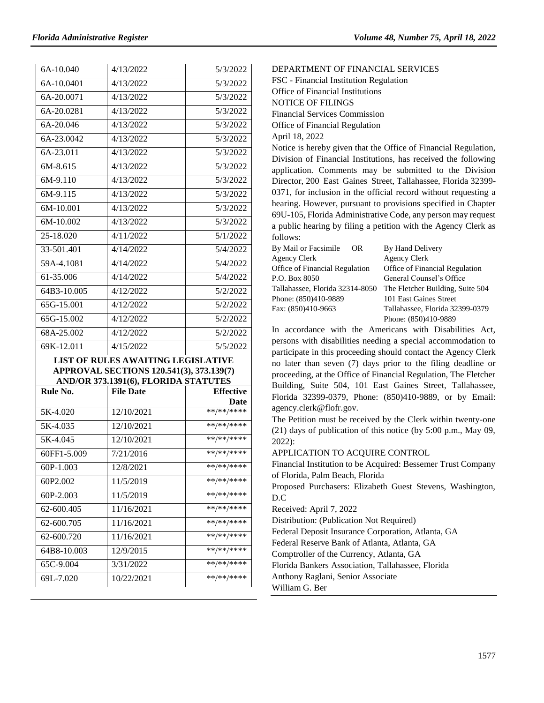| 6A-10.040                | 4/13/2022<br>5/3/2022                     |                  |  |
|--------------------------|-------------------------------------------|------------------|--|
| 6A-10.0401               | 4/13/2022<br>5/3/2022                     |                  |  |
| 6A-20.0071               | 4/13/2022<br>5/3/2022                     |                  |  |
| 6A-20.0281               | 4/13/2022                                 | 5/3/2022         |  |
| 6A-20.046                | 4/13/2022                                 | 5/3/2022         |  |
| 6A-23.0042               | 4/13/2022<br>5/3/2022                     |                  |  |
| 6A-23.011                | 4/13/2022                                 | 5/3/2022         |  |
| 6M-8.615                 | 4/13/2022                                 | 5/3/2022         |  |
| 6M-9.110                 | 4/13/2022<br>5/3/2022                     |                  |  |
| 6M-9.115                 | 4/13/2022                                 | 5/3/2022         |  |
| 6M-10.001                | 4/13/2022<br>5/3/2022                     |                  |  |
| 6M-10.002                | 4/13/2022<br>5/3/2022                     |                  |  |
| 25-18.020                | 4/11/2022                                 | 5/1/2022         |  |
| $33 - 501.401$           | 4/14/2022                                 | 5/4/2022         |  |
| 59A-4.1081               | 4/14/2022                                 | 5/4/2022         |  |
| 61-35.006                | 4/14/2022                                 | 5/4/2022         |  |
| 64B3-10.005              | 4/12/2022                                 | 5/2/2022         |  |
| 65G-15.001               | 4/12/2022                                 | 5/2/2022         |  |
| $\overline{6}$ 5G-15.002 | 4/12/2022                                 | 5/2/2022         |  |
| 68A-25.002               | 4/12/2022                                 | 5/2/2022         |  |
| 69K-12.011               | 4/15/2022                                 | 5/5/2022         |  |
|                          | <b>LIST OF RULES AWAITING LEGISLATIVE</b> |                  |  |
|                          | APPROVAL SECTIONS 120.541(3), 373.139(7)  |                  |  |
|                          | AND/OR 373.1391(6), FLORIDA STATUTES      |                  |  |
| Rule No.                 | <b>File Date</b>                          | <b>Effective</b> |  |
|                          |                                           | Date             |  |
| 5K-4.020                 | **/**/****<br>12/10/2021                  |                  |  |
| 5K-4.035                 | 12/10/2021                                | **/**/****       |  |
| 5K-4.045                 | **/**/****<br>12/10/2021                  |                  |  |
| 60FF1-5.009              | **/**/****<br>7/21/2016                   |                  |  |
| 60P-1.003                | 12/8/2021                                 | $***$ /** /***** |  |
| 60P2.002                 | 11/5/2019                                 | **/**/****       |  |
| 60P-2.003                | $***$ /** /****<br>11/5/2019              |                  |  |
| 62-600.405               | **/**/****<br>11/16/2021                  |                  |  |
| 62-600.705               | 11/16/2021                                | **/**/****       |  |
| 62-600.720               | **/**/****<br>11/16/2021                  |                  |  |

64B8-10.003 12/9/2015 \*\*/\*\*/\*\*\*\* 65C-9.004 3/31/2022 \*\*/\*\*/\*\*\*\* 69L-7.020 10/22/2021 \*\*/\*\*/\*\*\*\* [DEPARTMENT OF FINANCIAL SERVICES](https://flrules.org/gateway/department.asp?id=69) FSC - [Financial Institution Regulation](https://flrules.org/gateway/organization.asp?id=523)

Office of Financial Institutions NOTICE OF FILINGS Financial Services Commission Office of Financial Regulation April 18, 2022

Notice is hereby given that the Office of Financial Regulation, Division of Financial Institutions, has received the following application. Comments may be submitted to the Division Director, 200 East Gaines Street, Tallahassee, Florida 32399- 0371, for inclusion in the official record without requesting a hearing. However, pursuant to provisions specified in Chapter 69U-105, Florida Administrative Code, any person may request a public hearing by filing a petition with the Agency Clerk as follows:

| By Mail or Facsimile            | OR. | By Hand Delivery                 |
|---------------------------------|-----|----------------------------------|
| <b>Agency Clerk</b>             |     | <b>Agency Clerk</b>              |
| Office of Financial Regulation  |     | Office of Financial Regulation   |
| P.O. Box 8050                   |     | General Counsel's Office         |
| Tallahassee, Florida 32314-8050 |     | The Fletcher Building, Suite 504 |
| Phone: (850)410-9889            |     | 101 East Gaines Street           |
| Fax: (850)410-9663              |     | Tallahassee, Florida 32399-0379  |
|                                 |     | Phone: (850)410-9889             |

In accordance with the Americans with Disabilities Act, persons with disabilities needing a special accommodation to participate in this proceeding should contact the Agency Clerk no later than seven (7) days prior to the filing deadline or proceeding, at the Office of Financial Regulation, The Fletcher Building, Suite 504, 101 East Gaines Street, Tallahassee, Florida 32399-0379, Phone: (850)410-9889, or by Email: agency.clerk@flofr.gov.

The Petition must be received by the Clerk within twenty-one (21) days of publication of this notice (by 5:00 p.m., May 09, 2022):

APPLICATION TO ACQUIRE CONTROL

Financial Institution to be Acquired: Bessemer Trust Company of Florida, Palm Beach, Florida

Proposed Purchasers: Elizabeth Guest Stevens, Washington, D.C

Received: April 7, 2022

Distribution: (Publication Not Required)

Federal Deposit Insurance Corporation, Atlanta, GA

Federal Reserve Bank of Atlanta, Atlanta, GA

Comptroller of the Currency, Atlanta, GA

Florida Bankers Association, Tallahassee, Florida

Anthony Raglani, Senior Associate

William G. Ber